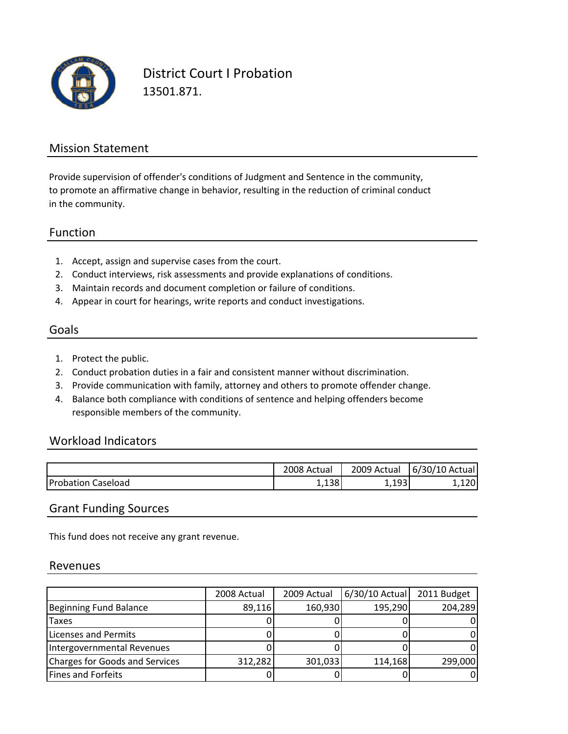

District Court I Probation 13501.871.

#### Mission Statement

to promote an affirmative change in behavior, resulting in the reduction of criminal conduct in the community. Provide supervision of offender's conditions of Judgment and Sentence in the community,

#### Function

- 1. Accept, assign and supervise cases from the court.
- 2. Conduct interviews, risk assessments and provide explanations of conditions.
- 3. Maintain records and document completion or failure of conditions.
- 4. Appear in court for hearings, write reports and conduct investigations.

### Goals

- 1. Protect the public.
- 2. Conduct probation duties in a fair and consistent manner without discrimination.
- 3. Provide communication with family, attorney and others to promote offender change.
- 4. Balance both compliance with conditions of sentence and helping offenders become responsible members of the community.

#### Workload Indicators

|                           | 2008 Actual  | 2009<br>Actual    | 6/30/10 Actual |
|---------------------------|--------------|-------------------|----------------|
| <b>Probation Caseload</b> | 120<br>1,190 | 102<br><b>___</b> | ,120'          |

#### Grant Funding Sources

This fund does not receive any grant revenue.

#### Revenues

|                                | 2008 Actual | 2009 Actual | 6/30/10 Actual | 2011 Budget |
|--------------------------------|-------------|-------------|----------------|-------------|
| Beginning Fund Balance         | 89,116      | 160,930     | 195,290        | 204,289     |
| Taxes                          |             |             |                |             |
| Licenses and Permits           |             |             |                |             |
| Intergovernmental Revenues     |             |             |                |             |
| Charges for Goods and Services | 312,282     | 301,033     | 114,168        | 299,000     |
| <b>Fines and Forfeits</b>      |             |             |                |             |